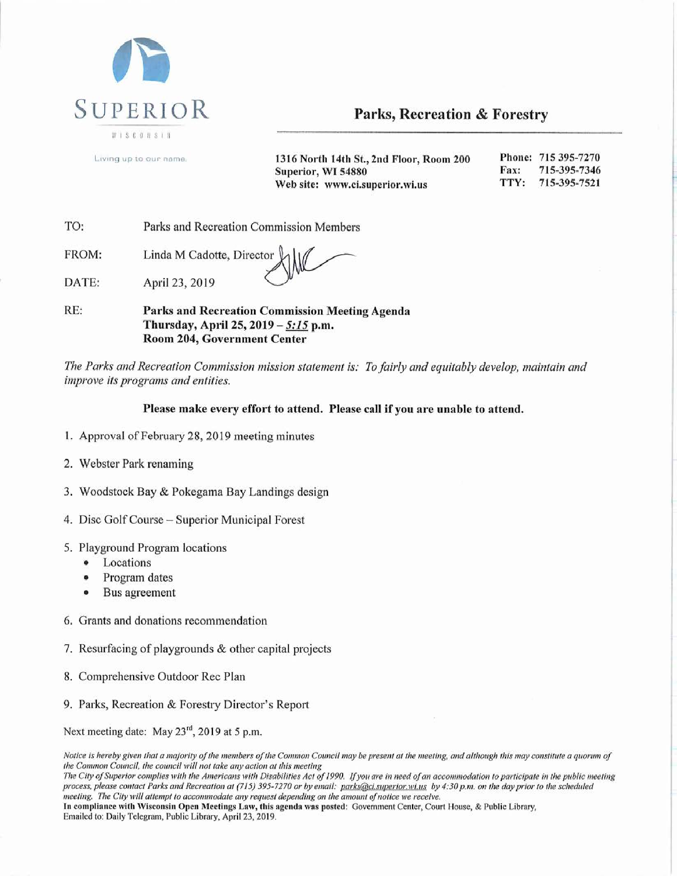

Parks, Recreation & Forestry

Living up to our name.

1316 North 14th St., 2nd Floor, Room 200 Phone: 715 395-7270 Fax: 715-395-7346 Superior, WI 54880 TTY: 715-395-7521 Web site: www.ci.superior.wi.us

TO: Parks and Recreation Commission Members

FROM: Linda M Cadotte, Director

DATE: April 23, 2019

RE: Parks and Recreation Commission Meeting Agenda Thursday, April 25, 2019 - 5:15 p.m. Room 204, Government Center

The Parks and Recreation Commission mission statement is: To fairly and equitably develop, maintain and improve its programs and entities.

#### Please make every effort to attend. Please call if you are unable to attend.

- 1. Approval of February 28, 2019 meeting minutes
- 2. Webster Park renaming
- 3. Woodstock Bay & Pokegama Bay Landings design
- 4. Disc Golf Course Superior Municipal Forest
- 5. Playground Program locations
	- Locations
	- Program dates  $\bullet$
	- Bus agreement
- 6. Grants and donations recommendation
- 7. Resurfacing of playgrounds & other capital projects
- 8. Comprehensive Outdoor Rec Plan
- 9. Parks, Recreation & Forestry Director's Report

Next meeting date: May 23<sup>rd</sup>, 2019 at 5 p.m.

Notice is hereby given that a majority of the members of the Common Council may be present at the meeting, and although this may constitute a quorum of the Common Council, the council will not take any action at this meeting

The City of Superior complies with the Americans with Disabilities Act of 1990. If you are in need of an accommodation to participate in the public meeting process, please contact Parks and Recreation at (715) 395-7270 or by email: parks@ci.superior.wi.us by 4:30 p.m. on the day prior to the scheduled meeting. The City will attempt to accommodate any request depending on the amount of notice we receive. In compliance with Wisconsin Open Meetings Law, this agenda was posted: Government Center, Court House, & Public Library, Emailed to: Daily Telegram, Public Library, April 23, 2019.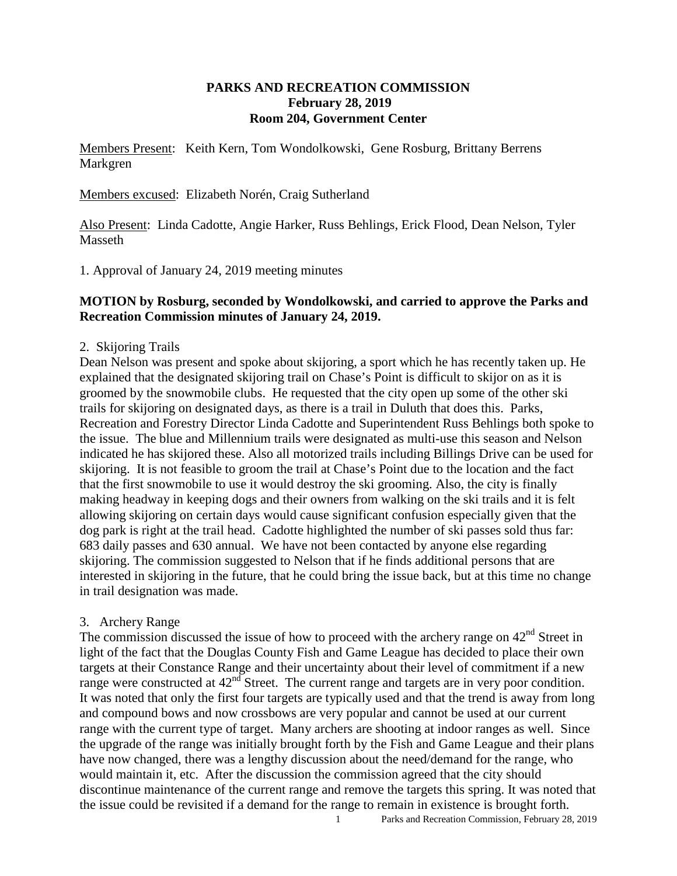### **PARKS AND RECREATION COMMISSION February 28, 2019 Room 204, Government Center**

Members Present: Keith Kern, Tom Wondolkowski, Gene Rosburg, Brittany Berrens Markgren

Members excused: Elizabeth Norén, Craig Sutherland

Also Present: Linda Cadotte, Angie Harker, Russ Behlings, Erick Flood, Dean Nelson, Tyler Masseth

1. Approval of January 24, 2019 meeting minutes

#### **MOTION by Rosburg, seconded by Wondolkowski, and carried to approve the Parks and Recreation Commission minutes of January 24, 2019.**

#### 2. Skijoring Trails

Dean Nelson was present and spoke about skijoring, a sport which he has recently taken up. He explained that the designated skijoring trail on Chase's Point is difficult to skijor on as it is groomed by the snowmobile clubs. He requested that the city open up some of the other ski trails for skijoring on designated days, as there is a trail in Duluth that does this. Parks, Recreation and Forestry Director Linda Cadotte and Superintendent Russ Behlings both spoke to the issue. The blue and Millennium trails were designated as multi-use this season and Nelson indicated he has skijored these. Also all motorized trails including Billings Drive can be used for skijoring. It is not feasible to groom the trail at Chase's Point due to the location and the fact that the first snowmobile to use it would destroy the ski grooming. Also, the city is finally making headway in keeping dogs and their owners from walking on the ski trails and it is felt allowing skijoring on certain days would cause significant confusion especially given that the dog park is right at the trail head. Cadotte highlighted the number of ski passes sold thus far: 683 daily passes and 630 annual. We have not been contacted by anyone else regarding skijoring. The commission suggested to Nelson that if he finds additional persons that are interested in skijoring in the future, that he could bring the issue back, but at this time no change in trail designation was made.

#### 3. Archery Range

The commission discussed the issue of how to proceed with the archery range on  $42<sup>nd</sup>$  Street in light of the fact that the Douglas County Fish and Game League has decided to place their own targets at their Constance Range and their uncertainty about their level of commitment if a new range were constructed at  $42^{nd}$  Street. The current range and targets are in very poor condition. It was noted that only the first four targets are typically used and that the trend is away from long and compound bows and now crossbows are very popular and cannot be used at our current range with the current type of target. Many archers are shooting at indoor ranges as well. Since the upgrade of the range was initially brought forth by the Fish and Game League and their plans have now changed, there was a lengthy discussion about the need/demand for the range, who would maintain it, etc. After the discussion the commission agreed that the city should discontinue maintenance of the current range and remove the targets this spring. It was noted that the issue could be revisited if a demand for the range to remain in existence is brought forth.

1 Parks and Recreation Commission, February 28, 2019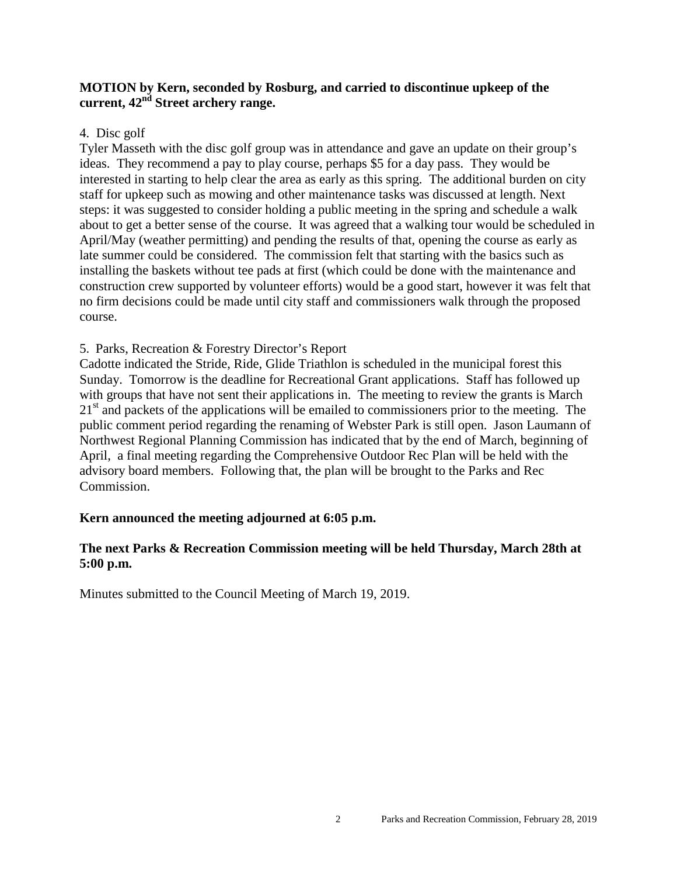## **MOTION by Kern, seconded by Rosburg, and carried to discontinue upkeep of the current, 42nd Street archery range.**

#### 4. Disc golf

 Tyler Masseth with the disc golf group was in attendance and gave an update on their group's ideas. They recommend a pay to play course, perhaps \$5 for a day pass. They would be interested in starting to help clear the area as early as this spring. The additional burden on city staff for upkeep such as mowing and other maintenance tasks was discussed at length. Next steps: it was suggested to consider holding a public meeting in the spring and schedule a walk about to get a better sense of the course. It was agreed that a walking tour would be scheduled in April/May (weather permitting) and pending the results of that, opening the course as early as late summer could be considered. The commission felt that starting with the basics such as installing the baskets without tee pads at first (which could be done with the maintenance and construction crew supported by volunteer efforts) would be a good start, however it was felt that no firm decisions could be made until city staff and commissioners walk through the proposed course.

## 5. Parks, Recreation & Forestry Director's Report

Cadotte indicated the Stride, Ride, Glide Triathlon is scheduled in the municipal forest this Sunday. Tomorrow is the deadline for Recreational Grant applications. Staff has followed up with groups that have not sent their applications in. The meeting to review the grants is March 21<sup>st</sup> and packets of the applications will be emailed to commissioners prior to the meeting. The public comment period regarding the renaming of Webster Park is still open. Jason Laumann of Northwest Regional Planning Commission has indicated that by the end of March, beginning of April, a final meeting regarding the Comprehensive Outdoor Rec Plan will be held with the advisory board members. Following that, the plan will be brought to the Parks and Rec Commission.

## **Kern announced the meeting adjourned at 6:05 p.m.**

## **The next Parks & Recreation Commission meeting will be held Thursday, March 28th at 5:00 p.m.**

Minutes submitted to the Council Meeting of March 19, 2019.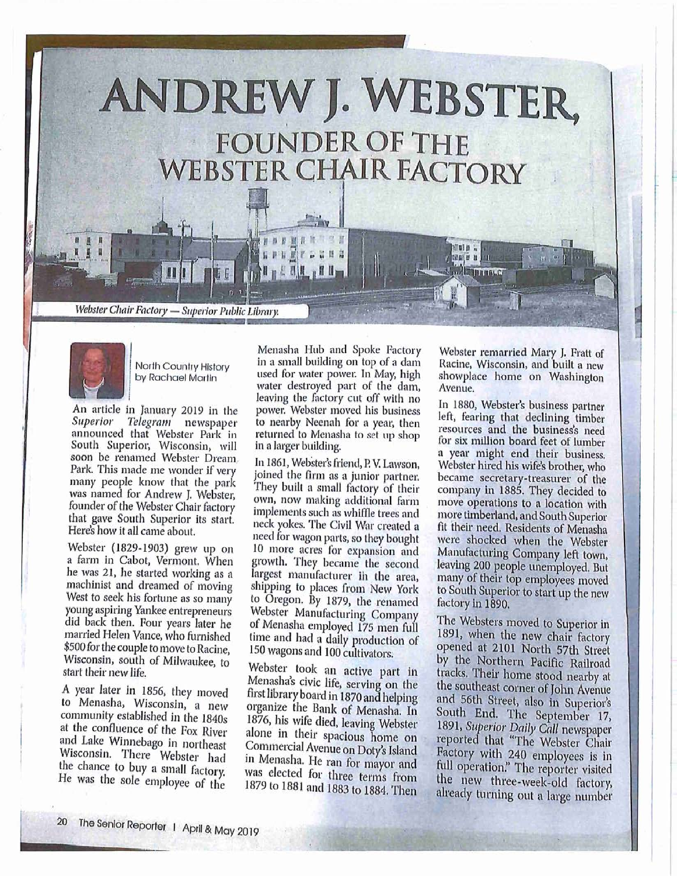





North Country History by Rachael Martin

An article in January 2019 in the Superior Telegram newspaper announced that Webster Park in South Superior, Wisconsin, will soon be renamed Webster Dream. Park. This made me wonder if very many people know that the park was named for Andrew J. Webster, founder of the Webster Chair factory that gave South Superior its start. Here's how it all came about.

Webster (1829-1903) grew up on a farm in Cabot, Vermont. When he was 21, he started working as a machinist and dreamed of moving West to seek his fortune as so many young aspiring Yankee entrepreneurs did back then. Four years later he married Helen Vance, who furnished \$500 for the couple to move to Racine, Wisconsin, south of Milwaukee, to start their new life.

A year later in 1856, they moved to Menasha, Wisconsin, a new community established in the 1840s at the confluence of the Fox River and Lake Winnebago in northeast Wisconsin. There Webster had the chance to buy a small factory. He was the sole employee of the

Menasha Hub and Spoke Factory in a small building on top of a dam used for water power. In May, high water destroyed part of the dam, leaving the factory cut off with no power. Webster moved his business to nearby Neenah for a year, then returned to Menasha to set up shop in a larger building.

In 1861, Webster's friend, P. V. Lawson, joined the firm as a junior partner. They built a small factory of their own, now making additional farm implements such as whiffle trees and neck yokes. The Civil War created a need for wagon parts, so they bought 10 more acres for expansion and growth. They became the second largest manufacturer in the area, shipping to places from New York to Oregon. By 1879, the renamed Webster Manufacturing Company of Menasha employed 175 men full time and had a daily production of 150 wagons and 100 cultivators.

Webster took an active part in Menasha's civic life, serving on the first library board in 1870 and helping organize the Bank of Menasha. In 1876, his wife died, leaving Webster alone in their spacious home on Commercial Avenue on Doty's Island in Menasha. He ran for mayor and was elected for three terms from 1879 to 1881 and 1883 to 1884. Then

Webster remarried Mary J. Fratt of Racine, Wisconsin, and built a new showplace home on Washington Avenue.

In 1880, Webster's business partner left, fearing that declining timber resources and the business's need for six million board feet of lumber a year might end their business. Webster hired his wife's brother, who became secretary-treasurer of the<br>company in 1885. They decided to move operations to a location with more timberland, and South Superior fit their need. Residents of Menasha were shocked when the Webster Manufacturing Company left town, leaving 200 people unemployed. But many of their top employees moved to South Superior to start up the new factory in 1890.

The Websters moved to Superior in 1891, when the new chair factory opened at 2101 North 57th Street by the Northern Pacific Railroad tracks. Their home stood nearby at the southeast corner of John Avenue and 56th Street, also in Superior's South End. The September 17, 1891, Superior Daily Call newspaper reported that "The Webster Chair Factory with 240 employees is in full operation." The reporter visited the new three-week-old factory, already turning out a large number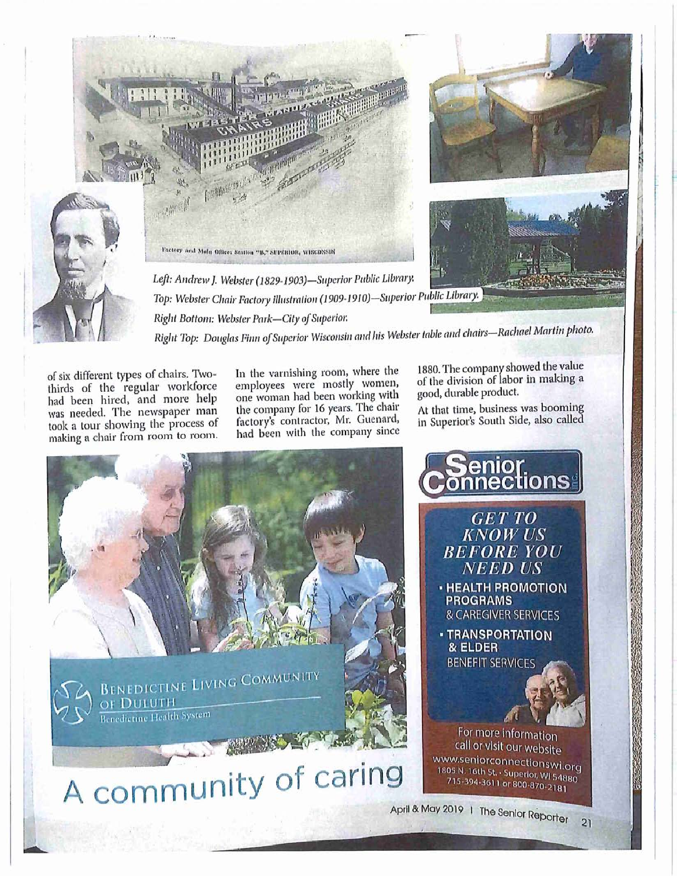

of six different types of chairs. Twothirds of the regular workforce had been hired, and more help was needed. The newspaper man took a tour showing the process of making a chair from room to room. In the varnishing room, where the employees were mostly women, one woman had been working with the company for 16 years. The chair factory's contractor, Mr. Guenard, had been with the company since 1880. The company showed the value of the division of labor in making a good, durable product.

At that time, business was booming in Superior's South Side, also called

enior<br>nections



**GET TO KNOW US BEFORE YOU NEED US** 

- **· HEALTH PROMOTION PROGRAMS** & CAREGIVER SERVICES
- **TRANSPORTATION** & ELDER **BENEFIT SERVICES**

For more information call or visit our website www.seniorconnectionswi.org 1805 N. 16th St. - Superior, WI 54880

 $\overline{2}$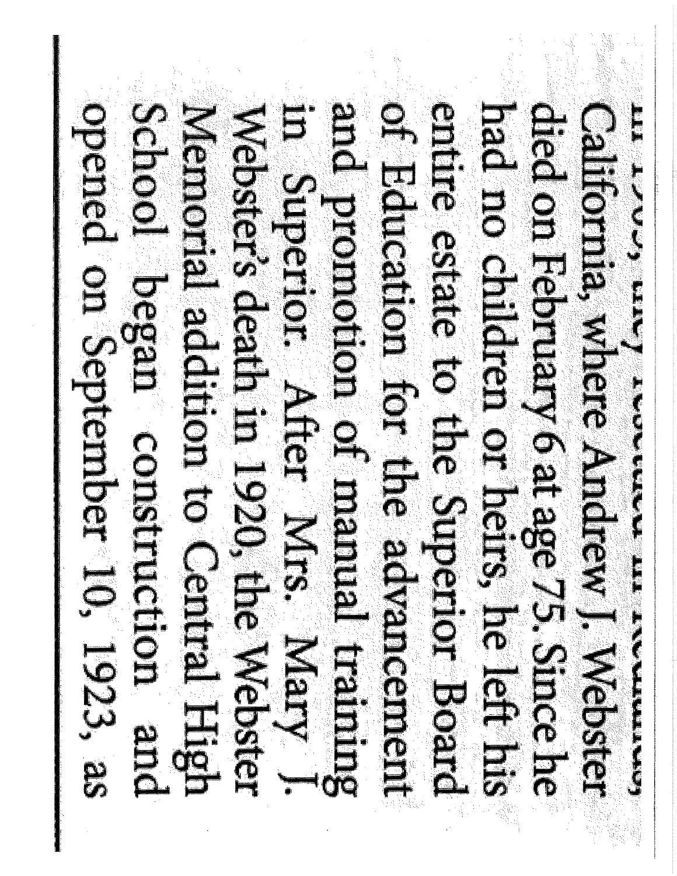**CARD CARD CARD CARD CARD** School Gegen construction and opened on September 10, 1923, as **CONTROLLING CONFORMATION** enteres estate die Schoener Boster Menion color to Central Hapital **Meter's dearing in the Mepter**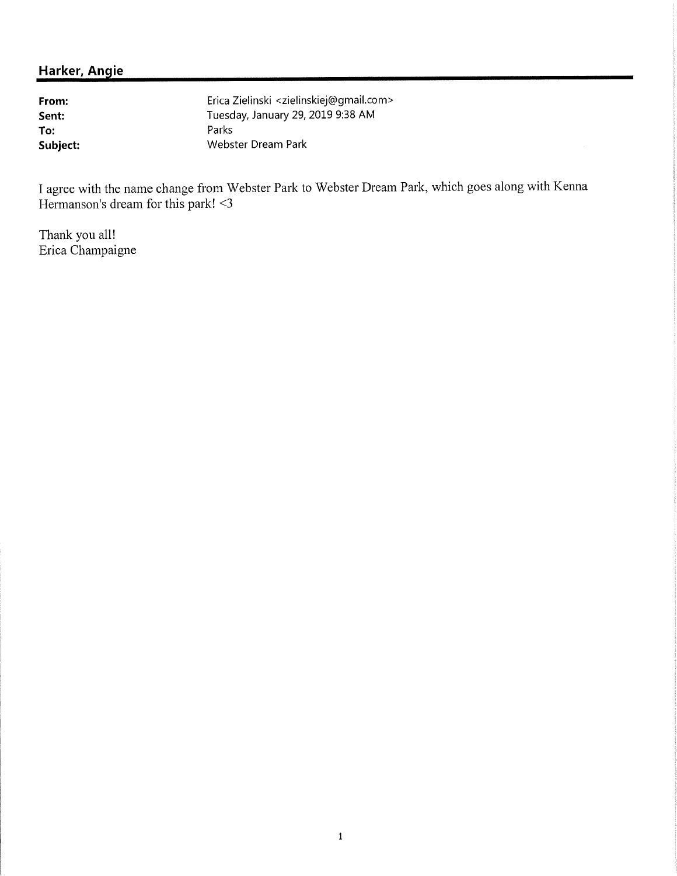From: Sent: To: Subject: Erica Zielinski <zielinskiej@gmail.com> Tuesday, January 29, 2019 9:38 AM Parks Webster Dream Park

I agree with the name change from Webster Park to Webster Dream Park, which goes along with Kenna Hermanson's dream for this park! <3

Thank you all! Erica Champaigne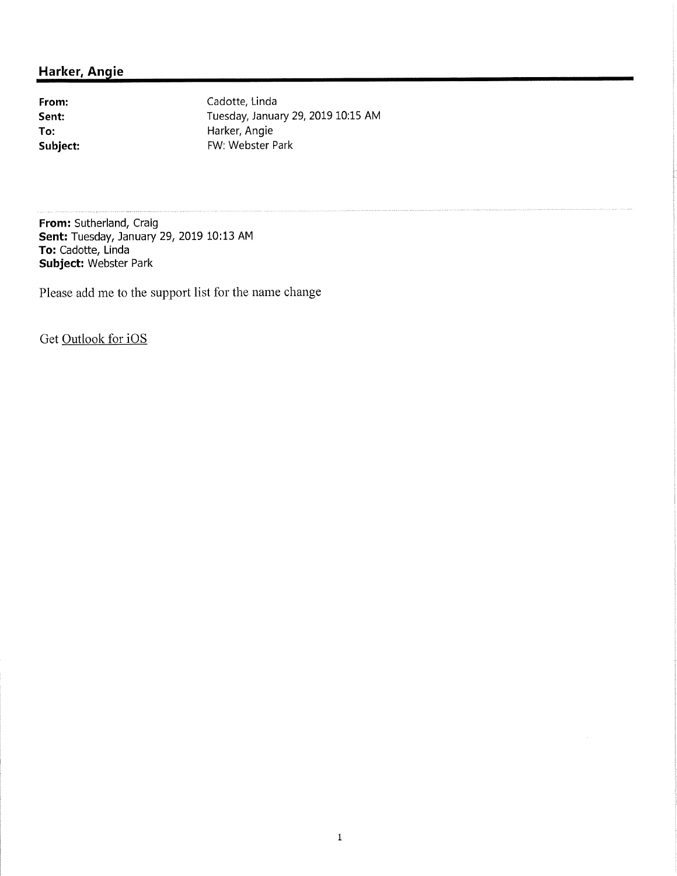From: Sent: To: Subject: Cadotte, Linda Tuesday, January 29, 2019 10:15 AM Harker, Angie FW: Webster Park

From: Sutherland, Craig **Sent:** Tuesday, January 29, 2019 10:13 AM To: Cadotte, Linda Subject: Webster Park

Please add me to the support list for the name change

Get Outlook for iOS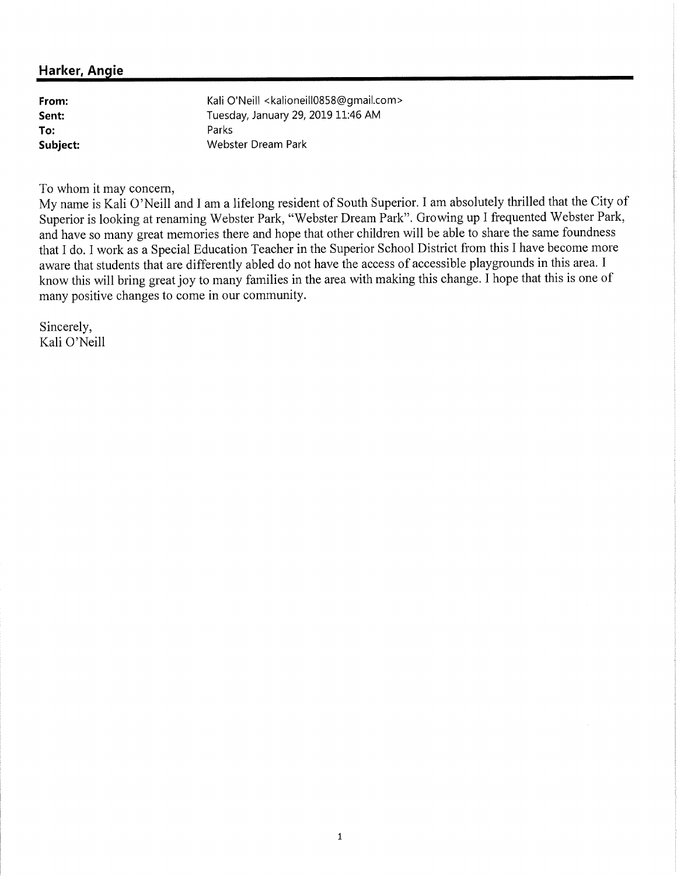Kali O'Neill <kalioneill0858@gmail.com> From: Tuesday, January 29, 2019 11:46 AM Sent: Parks To: Subject: Webster Dream Park

To whom it may concern,

My name is Kali O'Neill and I am a lifelong resident of South Superior. I am absolutely thrilled that the City of Superior is looking at renaming Webster Park, "Webster Dream Park". Growing up I frequented Webster Park, and have so many great memories there and hope that other children will be able to share the same foundness that I do. I work as a Special Education Teacher in the Superior School District from this I have become more aware that students that are differently abled do not have the access of accessible playgrounds in this area. I know this will bring great joy to many families in the area with making this change. I hope that this is one of many positive changes to come in our community.

Sincerely, Kali O'Neill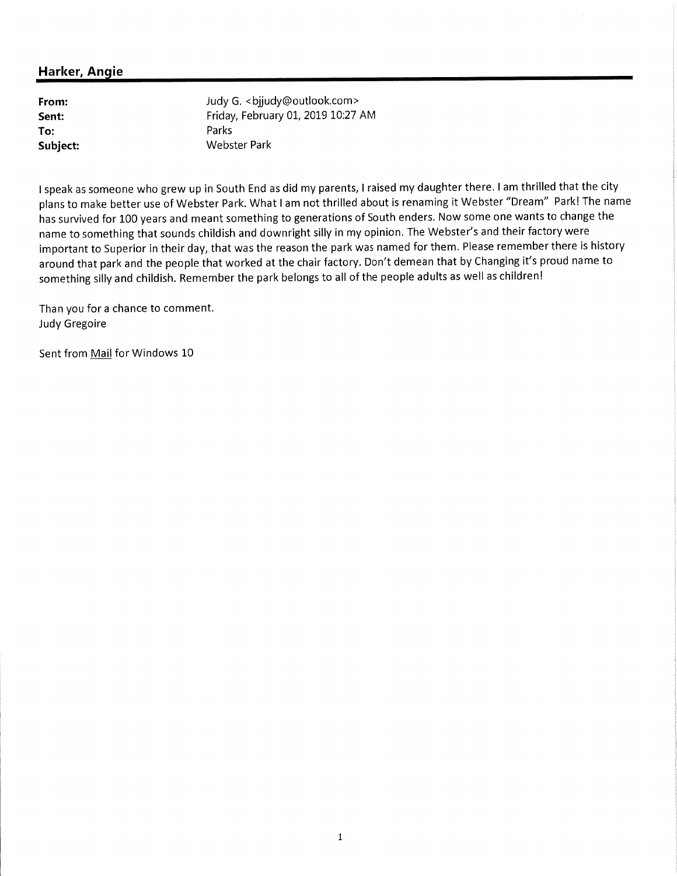From: Sent: To: Subject: Judy G. < bjjudy@outlook.com> Friday, February 01, 2019 10:27 AM Parks **Webster Park** 

I speak as someone who grew up in South End as did my parents, I raised my daughter there. I am thrilled that the city plans to make better use of Webster Park. What I am not thrilled about is renaming it Webster "Dream" Park! The name has survived for 100 years and meant something to generations of South enders. Now some one wants to change the name to something that sounds childish and downright silly in my opinion. The Webster's and their factory were important to Superior in their day, that was the reason the park was named for them. Please remember there is history around that park and the people that worked at the chair factory. Don't demean that by Changing it's proud name to something silly and childish. Remember the park belongs to all of the people adults as well as children!

Than you for a chance to comment. **Judy Gregoire** 

Sent from Mail for Windows 10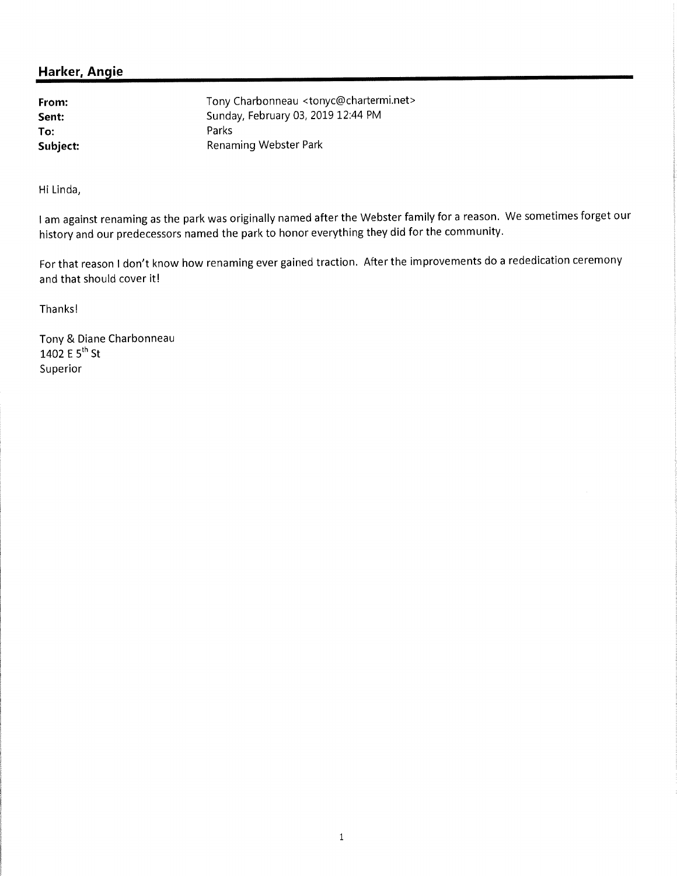From: Sent: To: Subject: Tony Charbonneau <tonyc@chartermi.net> Sunday, February 03, 2019 12:44 PM Parks **Renaming Webster Park** 

Hi Linda,

I am against renaming as the park was originally named after the Webster family for a reason. We sometimes forget our history and our predecessors named the park to honor everything they did for the community.

For that reason I don't know how renaming ever gained traction. After the improvements do a rededication ceremony and that should cover it!

Thanks!

Tony & Diane Charbonneau 1402 E  $5^{th}$  St Superior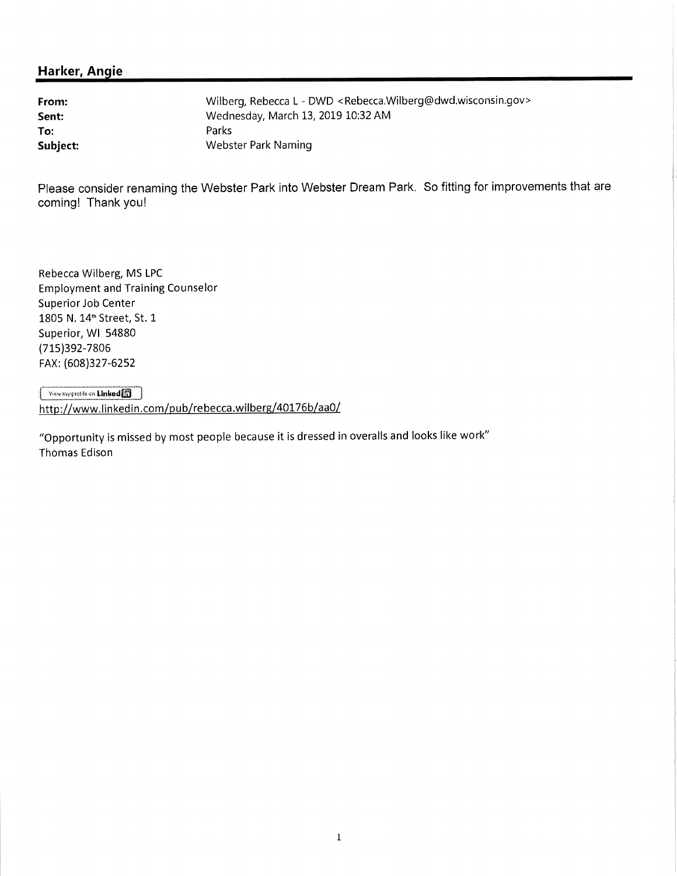From: Sent: To: Subject: Wilberg, Rebecca L - DWD <Rebecca.Wilberg@dwd.wisconsin.gov> Wednesday, March 13, 2019 10:32 AM Parks **Webster Park Naming** 

Please consider renaming the Webster Park into Webster Dream Park. So fitting for improvements that are coming! Thank you!

Rebecca Wilberg, MS LPC **Employment and Training Counselor** Superior Job Center 1805 N. 14<sup>th</sup> Street, St. 1 Superior, WI 54880 (715)392-7806 FAX: (608)327-6252

View my profile on Linked [1] http://www.linkedin.com/pub/rebecca.wilberg/40176b/aa0/

"Opportunity is missed by most people because it is dressed in overalls and looks like work" Thomas Edison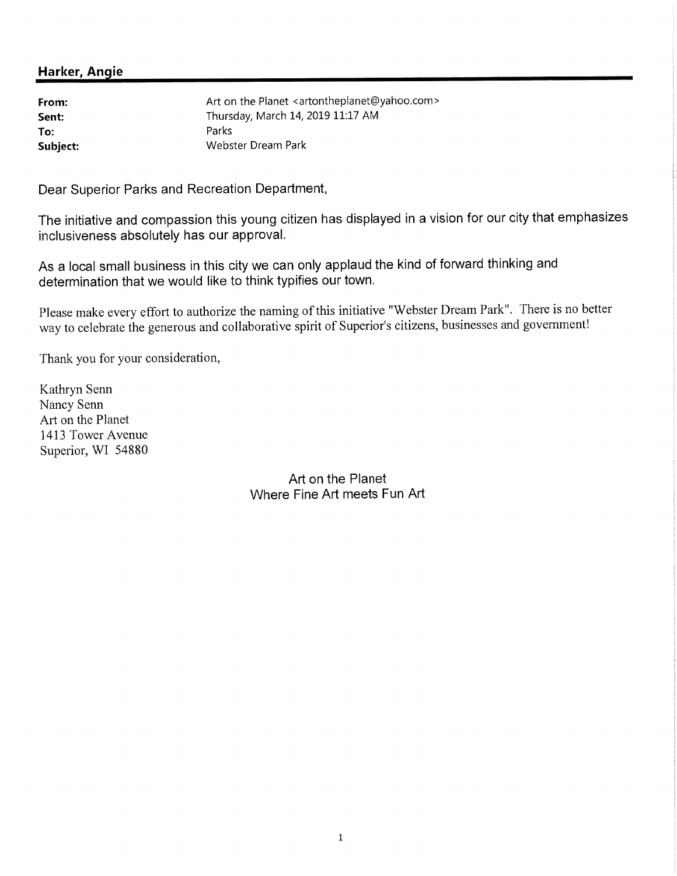From: Sent: To: Subject: Art on the Planet <artontheplanet@yahoo.com> Thursday, March 14, 2019 11:17 AM Parks Webster Dream Park

Dear Superior Parks and Recreation Department,

The initiative and compassion this young citizen has displayed in a vision for our city that emphasizes inclusiveness absolutely has our approval.

As a local small business in this city we can only applaud the kind of forward thinking and determination that we would like to think typifies our town.

Please make every effort to authorize the naming of this initiative "Webster Dream Park". There is no better way to celebrate the generous and collaborative spirit of Superior's citizens, businesses and government!

Thank you for your consideration,

Kathryn Senn Nancy Senn Art on the Planet 1413 Tower Avenue Superior, WI 54880

> Art on the Planet Where Fine Art meets Fun Art